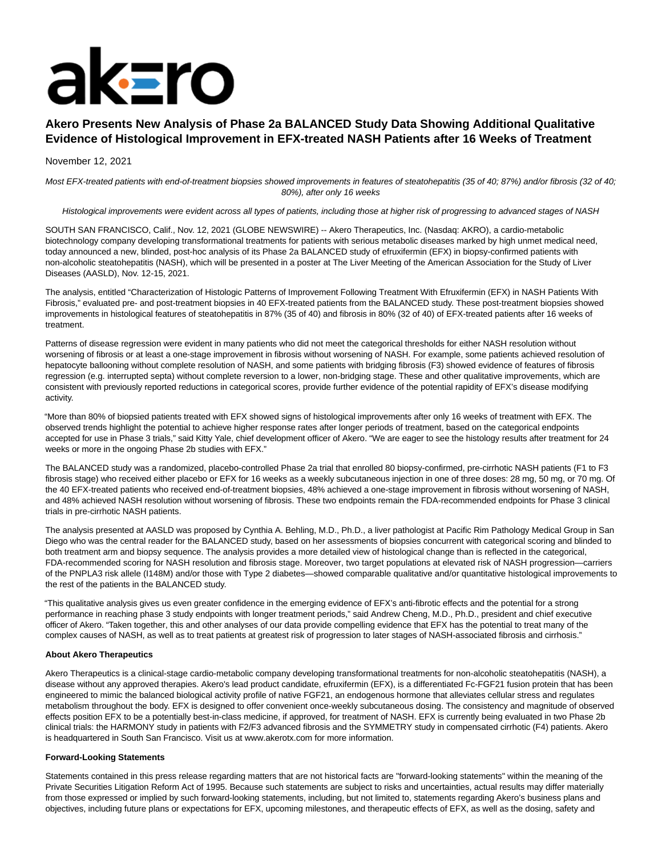# aksro

# **Akero Presents New Analysis of Phase 2a BALANCED Study Data Showing Additional Qualitative Evidence of Histological Improvement in EFX-treated NASH Patients after 16 Weeks of Treatment**

## November 12, 2021

Most EFX-treated patients with end-of-treatment biopsies showed improvements in features of steatohepatitis (35 of 40; 87%) and/or fibrosis (32 of 40; 80%), after only 16 weeks

### Histological improvements were evident across all types of patients, including those at higher risk of progressing to advanced stages of NASH

SOUTH SAN FRANCISCO, Calif., Nov. 12, 2021 (GLOBE NEWSWIRE) -- Akero Therapeutics, Inc. (Nasdaq: AKRO), a cardio-metabolic biotechnology company developing transformational treatments for patients with serious metabolic diseases marked by high unmet medical need, today announced a new, blinded, post-hoc analysis of its Phase 2a BALANCED study of efruxifermin (EFX) in biopsy-confirmed patients with non-alcoholic steatohepatitis (NASH), which will be presented in a poster at The Liver Meeting of the American Association for the Study of Liver Diseases (AASLD), Nov. 12-15, 2021.

The analysis, entitled "Characterization of Histologic Patterns of Improvement Following Treatment With Efruxifermin (EFX) in NASH Patients With Fibrosis," evaluated pre- and post-treatment biopsies in 40 EFX-treated patients from the BALANCED study. These post-treatment biopsies showed improvements in histological features of steatohepatitis in 87% (35 of 40) and fibrosis in 80% (32 of 40) of EFX-treated patients after 16 weeks of treatment.

Patterns of disease regression were evident in many patients who did not meet the categorical thresholds for either NASH resolution without worsening of fibrosis or at least a one-stage improvement in fibrosis without worsening of NASH. For example, some patients achieved resolution of hepatocyte ballooning without complete resolution of NASH, and some patients with bridging fibrosis (F3) showed evidence of features of fibrosis regression (e.g. interrupted septa) without complete reversion to a lower, non-bridging stage. These and other qualitative improvements, which are consistent with previously reported reductions in categorical scores, provide further evidence of the potential rapidity of EFX's disease modifying activity.

"More than 80% of biopsied patients treated with EFX showed signs of histological improvements after only 16 weeks of treatment with EFX. The observed trends highlight the potential to achieve higher response rates after longer periods of treatment, based on the categorical endpoints accepted for use in Phase 3 trials," said Kitty Yale, chief development officer of Akero. "We are eager to see the histology results after treatment for 24 weeks or more in the ongoing Phase 2b studies with EFX."

The BALANCED study was a randomized, placebo-controlled Phase 2a trial that enrolled 80 biopsy-confirmed, pre-cirrhotic NASH patients (F1 to F3 fibrosis stage) who received either placebo or EFX for 16 weeks as a weekly subcutaneous injection in one of three doses: 28 mg, 50 mg, or 70 mg. Of the 40 EFX-treated patients who received end-of-treatment biopsies, 48% achieved a one-stage improvement in fibrosis without worsening of NASH, and 48% achieved NASH resolution without worsening of fibrosis. These two endpoints remain the FDA-recommended endpoints for Phase 3 clinical trials in pre-cirrhotic NASH patients.

The analysis presented at AASLD was proposed by Cynthia A. Behling, M.D., Ph.D., a liver pathologist at Pacific Rim Pathology Medical Group in San Diego who was the central reader for the BALANCED study, based on her assessments of biopsies concurrent with categorical scoring and blinded to both treatment arm and biopsy sequence. The analysis provides a more detailed view of histological change than is reflected in the categorical, FDA-recommended scoring for NASH resolution and fibrosis stage. Moreover, two target populations at elevated risk of NASH progression—carriers of the PNPLA3 risk allele (I148M) and/or those with Type 2 diabetes—showed comparable qualitative and/or quantitative histological improvements to the rest of the patients in the BALANCED study.

"This qualitative analysis gives us even greater confidence in the emerging evidence of EFX's anti-fibrotic effects and the potential for a strong performance in reaching phase 3 study endpoints with longer treatment periods," said Andrew Cheng, M.D., Ph.D., president and chief executive officer of Akero. "Taken together, this and other analyses of our data provide compelling evidence that EFX has the potential to treat many of the complex causes of NASH, as well as to treat patients at greatest risk of progression to later stages of NASH-associated fibrosis and cirrhosis."

### **About Akero Therapeutics**

Akero Therapeutics is a clinical-stage cardio-metabolic company developing transformational treatments for non-alcoholic steatohepatitis (NASH), a disease without any approved therapies. Akero's lead product candidate, efruxifermin (EFX), is a differentiated Fc-FGF21 fusion protein that has been engineered to mimic the balanced biological activity profile of native FGF21, an endogenous hormone that alleviates cellular stress and regulates metabolism throughout the body. EFX is designed to offer convenient once-weekly subcutaneous dosing. The consistency and magnitude of observed effects position EFX to be a potentially best-in-class medicine, if approved, for treatment of NASH. EFX is currently being evaluated in two Phase 2b clinical trials: the HARMONY study in patients with F2/F3 advanced fibrosis and the SYMMETRY study in compensated cirrhotic (F4) patients. Akero is headquartered in South San Francisco. Visit us at www.akerotx.com for more information.

### **Forward-Looking Statements**

Statements contained in this press release regarding matters that are not historical facts are "forward-looking statements" within the meaning of the Private Securities Litigation Reform Act of 1995. Because such statements are subject to risks and uncertainties, actual results may differ materially from those expressed or implied by such forward-looking statements, including, but not limited to, statements regarding Akero's business plans and objectives, including future plans or expectations for EFX, upcoming milestones, and therapeutic effects of EFX, as well as the dosing, safety and